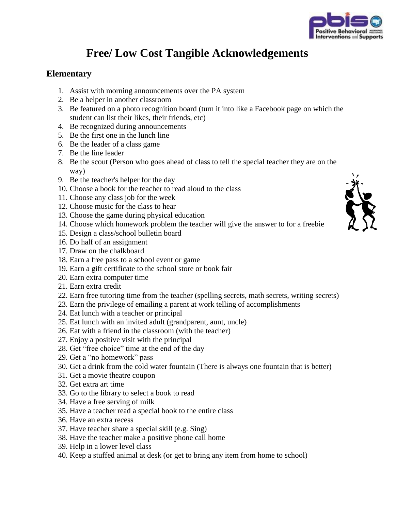

## **Free/ Low Cost Tangible Acknowledgements**

## **Elementary**

- 1. Assist with morning announcements over the PA system
- 2. Be a helper in another classroom
- 3. Be featured on a photo recognition board (turn it into like a Facebook page on which the student can list their likes, their friends, etc)
- 4. Be recognized during announcements
- 5. Be the first one in the lunch line
- 6. Be the leader of a class game
- 7. Be the line leader
- 8. Be the scout (Person who goes ahead of class to tell the special teacher they are on the way)
- 9. Be the teacher's helper for the day
- 10. Choose a book for the teacher to read aloud to the class
- 11. Choose any class job for the week
- 12. Choose music for the class to hear
- 13. Choose the game during physical education
- 14. Choose which homework problem the teacher will give the answer to for a freebie
- 15. Design a class/school bulletin board
- 16. Do half of an assignment
- 17. Draw on the chalkboard
- 18. Earn a free pass to a school event or game
- 19. Earn a gift certificate to the school store or book fair
- 20. Earn extra computer time
- 21. Earn extra credit
- 22. Earn free tutoring time from the teacher (spelling secrets, math secrets, writing secrets)
- 23. Earn the privilege of emailing a parent at work telling of accomplishments
- 24. Eat lunch with a teacher or principal
- 25. Eat lunch with an invited adult (grandparent, aunt, uncle)
- 26. Eat with a friend in the classroom (with the teacher)
- 27. Enjoy a positive visit with the principal
- 28. Get "free choice" time at the end of the day
- 29. Get a "no homework" pass
- 30. Get a drink from the cold water fountain (There is always one fountain that is better)
- 31. Get a movie theatre coupon
- 32. Get extra art time
- 33. Go to the library to select a book to read
- 34. Have a free serving of milk
- 35. Have a teacher read a special book to the entire class
- 36. Have an extra recess
- 37. Have teacher share a special skill (e.g. Sing)
- 38. Have the teacher make a positive phone call home
- 39. Help in a lower level class
- 40. Keep a stuffed animal at desk (or get to bring any item from home to school)

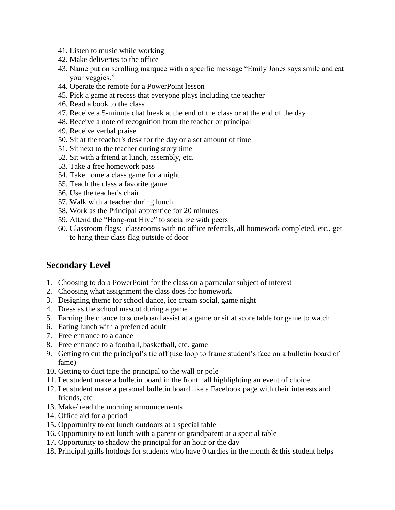- 41. Listen to music while working
- 42. Make deliveries to the office
- 43. Name put on scrolling marquee with a specific message "Emily Jones says smile and eat your veggies."
- 44. Operate the remote for a PowerPoint lesson
- 45. Pick a game at recess that everyone plays including the teacher
- 46. Read a book to the class
- 47. Receive a 5-minute chat break at the end of the class or at the end of the day
- 48. Receive a note of recognition from the teacher or principal
- 49. Receive verbal praise
- 50. Sit at the teacher's desk for the day or a set amount of time
- 51. Sit next to the teacher during story time
- 52. Sit with a friend at lunch, assembly, etc.
- 53. Take a free homework pass
- 54. Take home a class game for a night
- 55. Teach the class a favorite game
- 56. Use the teacher's chair
- 57. Walk with a teacher during lunch
- 58. Work as the Principal apprentice for 20 minutes
- 59. Attend the "Hang-out Hive" to socialize with peers
- 60. Classroom flags: classrooms with no office referrals, all homework completed, etc., get to hang their class flag outside of door

## **Secondary Level**

- 1. Choosing to do a PowerPoint for the class on a particular subject of interest
- 2. Choosing what assignment the class does for homework
- 3. Designing theme for school dance, ice cream social, game night
- 4. Dress as the school mascot during a game
- 5. Earning the chance to scoreboard assist at a game or sit at score table for game to watch
- 6. Eating lunch with a preferred adult
- 7. Free entrance to a dance
- 8. Free entrance to a football, basketball, etc. game
- 9. Getting to cut the principal's tie off (use loop to frame student's face on a bulletin board of fame)
- 10. Getting to duct tape the principal to the wall or pole
- 11. Let student make a bulletin board in the front hall highlighting an event of choice
- 12. Let student make a personal bulletin board like a Facebook page with their interests and friends, etc
- 13. Make/ read the morning announcements
- 14. Office aid for a period
- 15. Opportunity to eat lunch outdoors at a special table
- 16. Opportunity to eat lunch with a parent or grandparent at a special table
- 17. Opportunity to shadow the principal for an hour or the day
- 18. Principal grills hotdogs for students who have 0 tardies in the month & this student helps